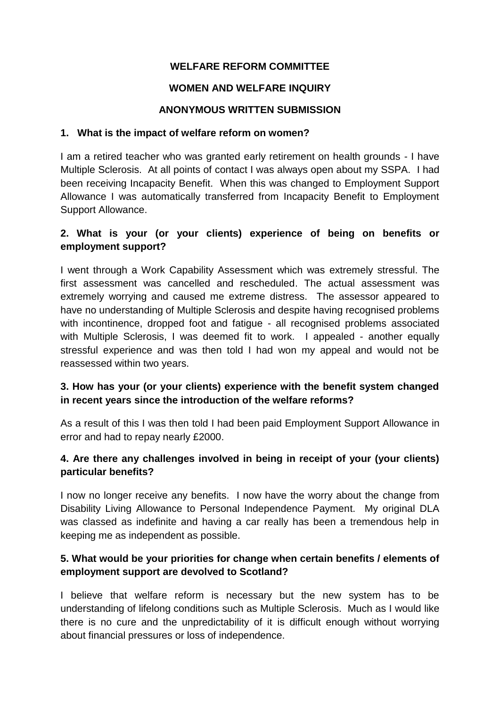# **WELFARE REFORM COMMITTEE**

### **WOMEN AND WELFARE INQUIRY**

#### **ANONYMOUS WRITTEN SUBMISSION**

#### **1. What is the impact of welfare reform on women?**

I am a retired teacher who was granted early retirement on health grounds - I have Multiple Sclerosis. At all points of contact I was always open about my SSPA. I had been receiving Incapacity Benefit. When this was changed to Employment Support Allowance I was automatically transferred from Incapacity Benefit to Employment Support Allowance.

### **2. What is your (or your clients) experience of being on benefits or employment support?**

I went through a Work Capability Assessment which was extremely stressful. The first assessment was cancelled and rescheduled. The actual assessment was extremely worrying and caused me extreme distress. The assessor appeared to have no understanding of Multiple Sclerosis and despite having recognised problems with incontinence, dropped foot and fatigue - all recognised problems associated with Multiple Sclerosis. I was deemed fit to work. I appealed - another equally stressful experience and was then told I had won my appeal and would not be reassessed within two years.

# **3. How has your (or your clients) experience with the benefit system changed in recent years since the introduction of the welfare reforms?**

As a result of this I was then told I had been paid Employment Support Allowance in error and had to repay nearly £2000.

# **4. Are there any challenges involved in being in receipt of your (your clients) particular benefits?**

I now no longer receive any benefits. I now have the worry about the change from Disability Living Allowance to Personal Independence Payment. My original DLA was classed as indefinite and having a car really has been a tremendous help in keeping me as independent as possible.

### **5. What would be your priorities for change when certain benefits / elements of employment support are devolved to Scotland?**

I believe that welfare reform is necessary but the new system has to be understanding of lifelong conditions such as Multiple Sclerosis. Much as I would like there is no cure and the unpredictability of it is difficult enough without worrying about financial pressures or loss of independence.